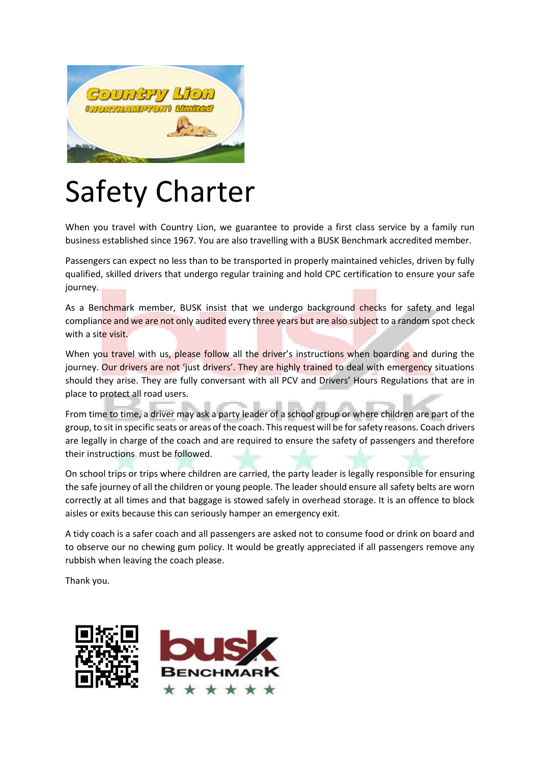

## Safety Charter

When you travel with Country Lion, we guarantee to provide a first class service by a family run business established since 1967. You are also travelling with a BUSK Benchmark accredited member.

Passengers can expect no less than to be transported in properly maintained vehicles, driven by fully qualified, skilled drivers that undergo regular training and hold CPC certification to ensure your safe journey.

As a Benchmark member, BUSK insist that we undergo background checks for safety and legal compliance and we are not only audited every three years but are also subject to a random spot check with a site visit.

When you travel with us, please follow all the driver's instructions when boarding and during the journey. Our drivers are not 'just drivers'. They are highly trained to deal with emergency situations should they arise. They are fully conversant with all PCV and Drivers' Hours Regulations that are in place to protect all road users.

From time to time, a driver may ask a party leader of a school group or where children are part of the group, to sit in specific seats or areas of the coach. This request will be for safety reasons. Coach drivers are legally in charge of the coach and are required to ensure the safety of passengers and therefore their instructions must be followed.

On school trips or trips where children are carried, the party leader is legally responsible for ensuring the safe journey of all the children or young people. The leader should ensure all safety belts are worn correctly at all times and that baggage is stowed safely in overhead storage. It is an offence to block aisles or exits because this can seriously hamper an emergency exit.

A tidy coach is a safer coach and all passengers are asked not to consume food or drink on board and to observe our no chewing gum policy. It would be greatly appreciated if all passengers remove any rubbish when leaving the coach please.

Thank you.